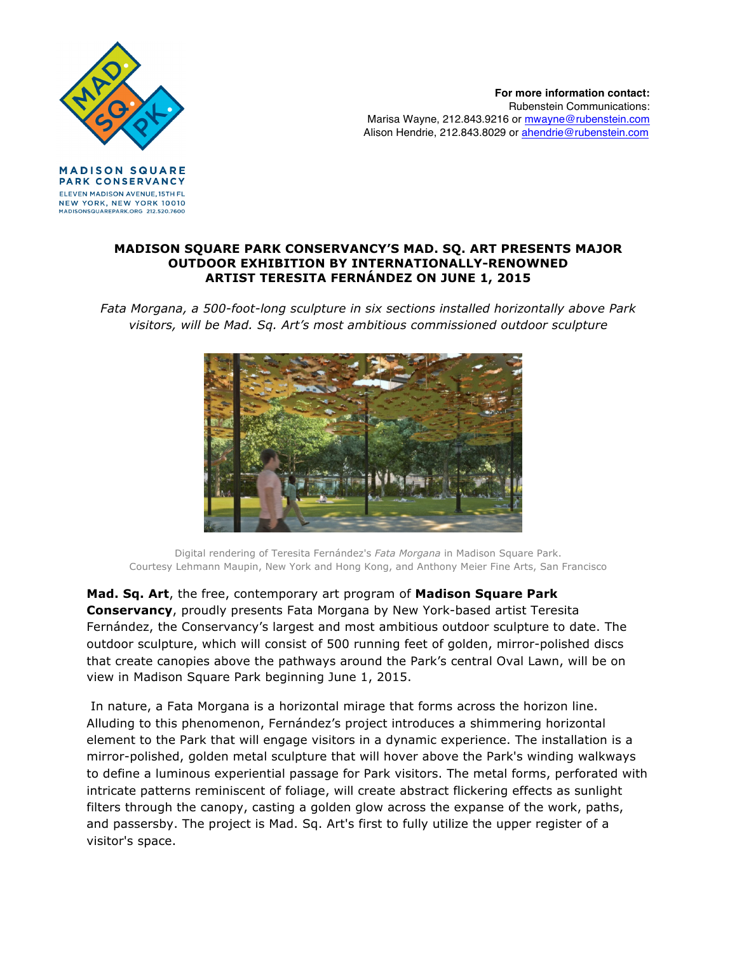

**For more information contact:** Rubenstein Communications: Marisa Wayne, 212.843.9216 or mwayne@rubenstein.com Alison Hendrie, 212.843.8029 or ahendrie@rubenstein.com

**MADISON SQUARE** PARK CONSERVANCY ELEVEN MADISON AVENUE, 15TH FL NEW YORK, NEW YORK 10010 MADISONSQUAREPARK.ORG 212.520.7600

## **MADISON SQUARE PARK CONSERVANCY'S MAD. SQ. ART PRESENTS MAJOR OUTDOOR EXHIBITION BY INTERNATIONALLY-RENOWNED ARTIST TERESITA FERNÁNDEZ ON JUNE 1, 2015**

*Fata Morgana, a 500-foot-long sculpture in six sections installed horizontally above Park visitors, will be Mad. Sq. Art's most ambitious commissioned outdoor sculpture*



Digital rendering of Teresita Fernández's *Fata Morgana* in Madison Square Park. Courtesy Lehmann Maupin, New York and Hong Kong, and Anthony Meier Fine Arts, San Francisco

**Mad. Sq. Art**, the free, contemporary art program of **Madison Square Park Conservancy**, proudly presents Fata Morgana by New York-based artist Teresita Fernández, the Conservancy's largest and most ambitious outdoor sculpture to date. The outdoor sculpture, which will consist of 500 running feet of golden, mirror-polished discs that create canopies above the pathways around the Park's central Oval Lawn, will be on view in Madison Square Park beginning June 1, 2015.

In nature, a Fata Morgana is a horizontal mirage that forms across the horizon line. Alluding to this phenomenon, Fernández's project introduces a shimmering horizontal element to the Park that will engage visitors in a dynamic experience. The installation is a mirror-polished, golden metal sculpture that will hover above the Park's winding walkways to define a luminous experiential passage for Park visitors. The metal forms, perforated with intricate patterns reminiscent of foliage, will create abstract flickering effects as sunlight filters through the canopy, casting a golden glow across the expanse of the work, paths, and passersby. The project is Mad. Sq. Art's first to fully utilize the upper register of a visitor's space.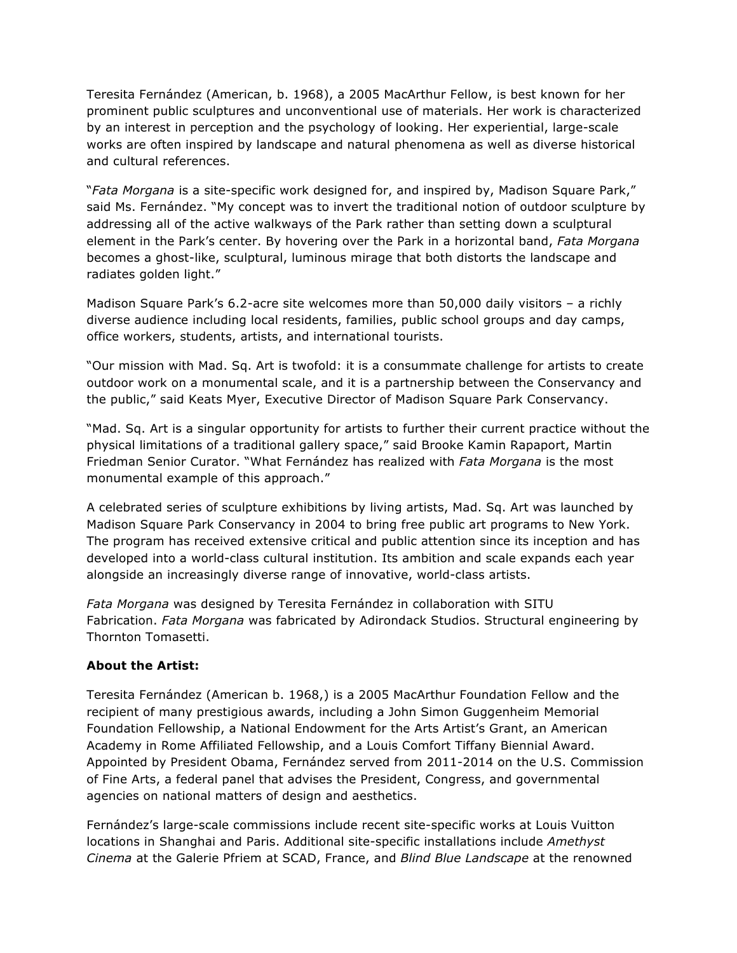Teresita Fernández (American, b. 1968), a 2005 MacArthur Fellow, is best known for her prominent public sculptures and unconventional use of materials. Her work is characterized by an interest in perception and the psychology of looking. Her experiential, large-scale works are often inspired by landscape and natural phenomena as well as diverse historical and cultural references.

"*Fata Morgana* is a site-specific work designed for, and inspired by, Madison Square Park," said Ms. Fernández. "My concept was to invert the traditional notion of outdoor sculpture by addressing all of the active walkways of the Park rather than setting down a sculptural element in the Park's center. By hovering over the Park in a horizontal band, *Fata Morgana* becomes a ghost-like, sculptural, luminous mirage that both distorts the landscape and radiates golden light."

Madison Square Park's 6.2-acre site welcomes more than 50,000 daily visitors – a richly diverse audience including local residents, families, public school groups and day camps, office workers, students, artists, and international tourists.

"Our mission with Mad. Sq. Art is twofold: it is a consummate challenge for artists to create outdoor work on a monumental scale, and it is a partnership between the Conservancy and the public," said Keats Myer, Executive Director of Madison Square Park Conservancy.

"Mad. Sq. Art is a singular opportunity for artists to further their current practice without the physical limitations of a traditional gallery space," said Brooke Kamin Rapaport, Martin Friedman Senior Curator. "What Fernández has realized with *Fata Morgana* is the most monumental example of this approach."

A celebrated series of sculpture exhibitions by living artists, Mad. Sq. Art was launched by Madison Square Park Conservancy in 2004 to bring free public art programs to New York. The program has received extensive critical and public attention since its inception and has developed into a world-class cultural institution. Its ambition and scale expands each year alongside an increasingly diverse range of innovative, world-class artists.

*Fata Morgana* was designed by Teresita Fernández in collaboration with SITU Fabrication. *Fata Morgana* was fabricated by Adirondack Studios. Structural engineering by Thornton Tomasetti.

## **About the Artist:**

Teresita Fernández (American b. 1968,) is a 2005 MacArthur Foundation Fellow and the recipient of many prestigious awards, including a John Simon Guggenheim Memorial Foundation Fellowship, a National Endowment for the Arts Artist's Grant, an American Academy in Rome Affiliated Fellowship, and a Louis Comfort Tiffany Biennial Award. Appointed by President Obama, Fernández served from 2011-2014 on the U.S. Commission of Fine Arts, a federal panel that advises the President, Congress, and governmental agencies on national matters of design and aesthetics.

Fernández's large-scale commissions include recent site-specific works at Louis Vuitton locations in Shanghai and Paris. Additional site-specific installations include *Amethyst Cinema* at the Galerie Pfriem at SCAD, France, and *Blind Blue Landscape* at the renowned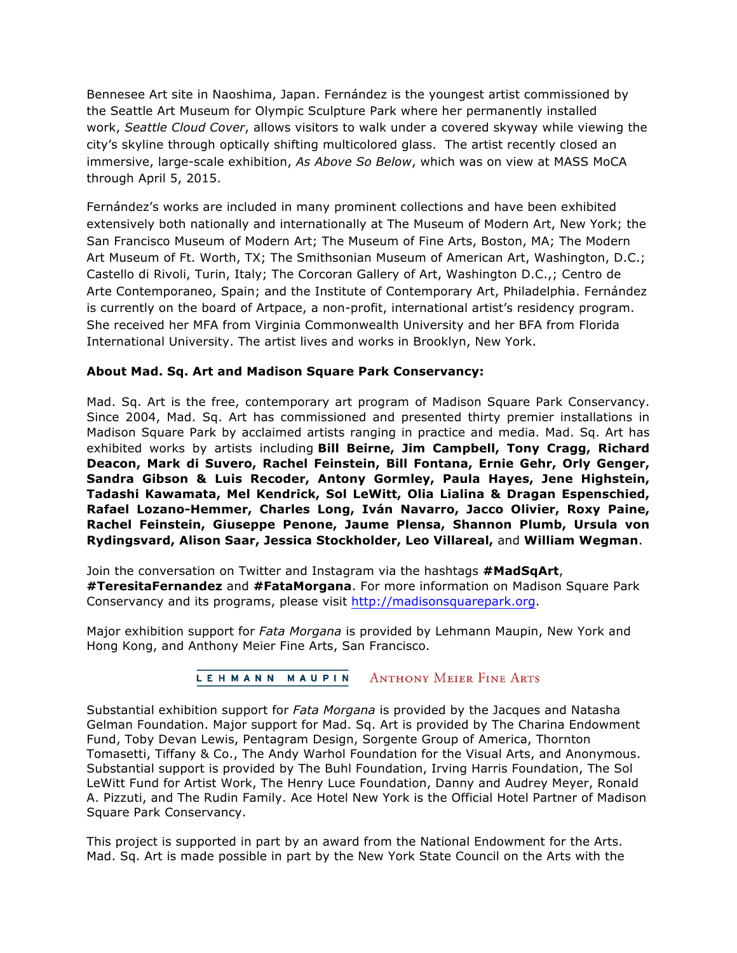Bennesee Art site in Naoshima, Japan. Fernández is the youngest artist commissioned by the Seattle Art Museum for Olympic Sculpture Park where her permanently installed work, *Seattle Cloud Cover*, allows visitors to walk under a covered skyway while viewing the city's skyline through optically shifting multicolored glass. The artist recently closed an immersive, large-scale exhibition, *As Above So Below*, which was on view at MASS MoCA through April 5, 2015.

Fernández's works are included in many prominent collections and have been exhibited extensively both nationally and internationally at The Museum of Modern Art, New York; the San Francisco Museum of Modern Art; The Museum of Fine Arts, Boston, MA; The Modern Art Museum of Ft. Worth, TX; The Smithsonian Museum of American Art, Washington, D.C.; Castello di Rivoli, Turin, Italy; The Corcoran Gallery of Art, Washington D.C.,; Centro de Arte Contemporaneo, Spain; and the Institute of Contemporary Art, Philadelphia. Fernández is currently on the board of Artpace, a non-profit, international artist's residency program. She received her MFA from Virginia Commonwealth University and her BFA from Florida International University. The artist lives and works in Brooklyn, New York.

## **About Mad. Sq. Art and Madison Square Park Conservancy:**

Mad. Sq. Art is the free, contemporary art program of Madison Square Park Conservancy. Since 2004, Mad. Sq. Art has commissioned and presented thirty premier installations in Madison Square Park by acclaimed artists ranging in practice and media. Mad. Sq. Art has exhibited works by artists including **Bill Beirne, Jim Campbell, Tony Cragg, Richard Deacon, Mark di Suvero, Rachel Feinstein, Bill Fontana, Ernie Gehr, Orly Genger, Sandra Gibson & Luis Recoder, Antony Gormley, Paula Hayes, Jene Highstein, Tadashi Kawamata, Mel Kendrick, Sol LeWitt, Olia Lialina & Dragan Espenschied, Rafael Lozano-Hemmer, Charles Long, Iván Navarro, Jacco Olivier, Roxy Paine, Rachel Feinstein, Giuseppe Penone, Jaume Plensa, Shannon Plumb, Ursula von Rydingsvard, Alison Saar, Jessica Stockholder, Leo Villareal,** and **William Wegman**.

Join the conversation on Twitter and Instagram via the hashtags **#MadSqArt**, **#TeresitaFernandez** and **#FataMorgana**. For more information on Madison Square Park Conservancy and its programs, please visit http://madisonsquarepark.org.

Major exhibition support for *Fata Morgana* is provided by Lehmann Maupin, New York and Hong Kong, and Anthony Meier Fine Arts, San Francisco.

## LEHMANN MAUPIN **ANTHONY MEIER FINE ARTS**

Substantial exhibition support for *Fata Morgana* is provided by the Jacques and Natasha Gelman Foundation. Major support for Mad. Sq. Art is provided by The Charina Endowment Fund, Toby Devan Lewis, Pentagram Design, Sorgente Group of America, Thornton Tomasetti, Tiffany & Co., The Andy Warhol Foundation for the Visual Arts, and Anonymous. Substantial support is provided by The Buhl Foundation, Irving Harris Foundation, The Sol LeWitt Fund for Artist Work, The Henry Luce Foundation, Danny and Audrey Meyer, Ronald A. Pizzuti, and The Rudin Family. Ace Hotel New York is the Official Hotel Partner of Madison Square Park Conservancy.

This project is supported in part by an award from the National Endowment for the Arts. Mad. Sq. Art is made possible in part by the New York State Council on the Arts with the